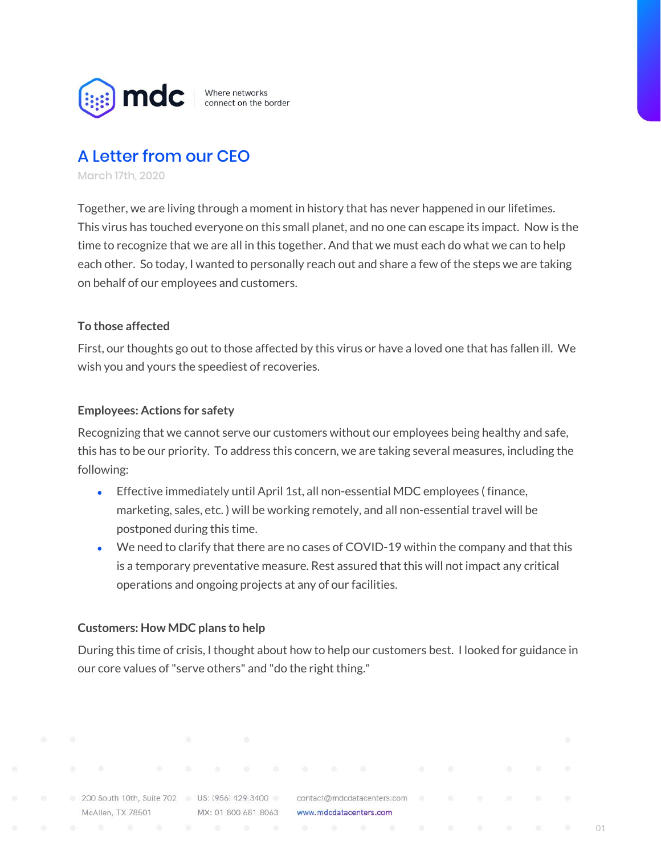

Where networks connect on the border

## A Letter from our CEO

March 17th, 2020

Together, we are living through a moment in history that has never happened in our lifetimes. This virus has touched everyone on this small planet, and no one can escape its impact. Now is the time to recognize that we are all in this together. And that we must each do what we can to help each other. So today, I wanted to personally reach out and share a few of the steps we are taking on behalf of our employees and customers.

## **To those affected**

First, our thoughts go out to those affected by this virus or have a loved one that has fallen ill. We wish you and yours the speediest of recoveries.

## **Employees: Actions for safety**

Recognizing that we cannot serve our customers without our employees being healthy and safe, this has to be our priority. To address this concern, we are taking several measures, including the following:

- Effective immediately until April 1st, all non-essential MDC employees (finance, marketing, sales, etc. ) will be working remotely, and all non-essential travel will be postponed during this time.
- We need to clarify that there are no cases of COVID-19 within the company and that this is a temporary preventative measure. Rest assured that this will not impact any critical operations and ongoing projects at any of our facilities.

## **Customers: How MDC plans to help**

During this time of crisis, I thought about how to help our customers best. I looked for guidance in our core values of"serve others" and "do the right thing."

MX: 01.800.681.8063 www.mdcdatacenters.com